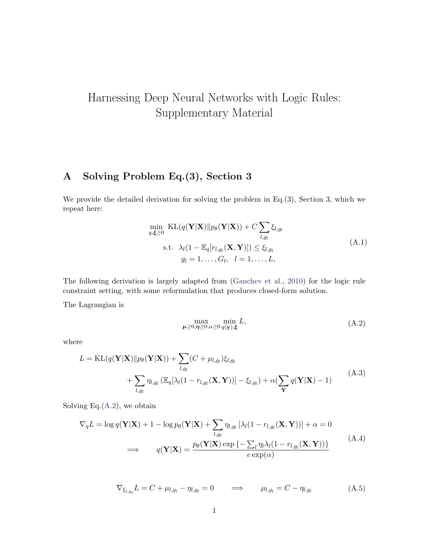## Harnessing Deep Neural Networks with Logic Rules: Supplementary Material

## A Solving Problem Eq.(3), Section 3

We provide the detailed derivation for solving the problem in Eq.(3), Section 3, which we repeat here:

$$
\min_{q,\boldsymbol{\xi} \geq 0} \text{ KL}(q(\mathbf{Y}|\mathbf{X})||p_{\theta}(\mathbf{Y}|\mathbf{X})) + C \sum_{l,g_l} \xi_{l,g_l}
$$
\n
$$
\text{s.t.} \quad \lambda_l (1 - \mathbb{E}_q[r_{l,g_l}(\mathbf{X}, \mathbf{Y})]) \leq \xi_{l,g_l}
$$
\n
$$
g_l = 1, \dots, G_l, \quad l = 1, \dots, L,
$$
\n
$$
(A.1)
$$

The following derivation is largely adapted from [\(Ganchev et al.,](#page-2-0) [2010\)](#page-2-0) for the logic rule constraint setting, with some reformulation that produces closed-form solution.

<span id="page-0-0"></span>The Lagrangian is

$$
\max_{\mu \ge 0, \eta \ge 0, \alpha \ge 0} \min_{q(\mathbf{y}), \xi} L,\tag{A.2}
$$

where

$$
L = \text{KL}(q(\mathbf{Y}|\mathbf{X})||p_{\theta}(\mathbf{Y}|\mathbf{X})) + \sum_{l,g_l} (C + \mu_{l,g_l})\xi_{l,g_l}
$$
  
+ 
$$
\sum_{l,g_l} \eta_{l,g_l} \left( \mathbb{E}_q[\lambda_l(1 - r_{l,g_l}(\mathbf{X}, \mathbf{Y}))] - \xi_{l,g_l} \right) + \alpha \left( \sum_{\mathbf{Y}} q(\mathbf{Y}|\mathbf{X}) - 1 \right)
$$
(A.3)

Solving Eq. $(A.2)$ , we obtain

$$
\nabla_q L = \log q(\mathbf{Y}|\mathbf{X}) + 1 - \log p_\theta(\mathbf{Y}|\mathbf{X}) + \sum_{l,g_l} \eta_{l,g_l} [\lambda_l (1 - r_{l,g_l}(\mathbf{X}, \mathbf{Y}))] + \alpha = 0
$$
  
\n
$$
\implies \qquad q(\mathbf{Y}|\mathbf{X}) = \frac{p_\theta(\mathbf{Y}|\mathbf{X}) \exp \{-\sum_l \eta_l \lambda_l (1 - r_{l,g_l}(\mathbf{X}, \mathbf{Y}))\}}{e \exp(\alpha)}
$$
(A.4)

<span id="page-0-1"></span>
$$
\nabla_{\xi_{l,g_l}} L = C + \mu_{l,g_l} - \eta_{l,g_l} = 0 \qquad \Longrightarrow \qquad \mu_{l,g_l} = C - \eta_{l,g_l} \tag{A.5}
$$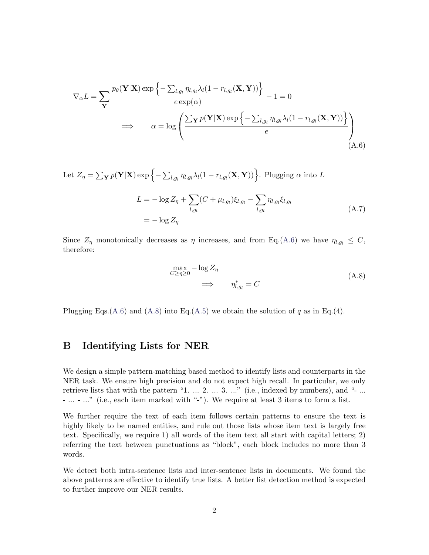<span id="page-1-0"></span>
$$
\nabla_{\alpha}L = \sum_{\mathbf{Y}} \frac{p_{\theta}(\mathbf{Y}|\mathbf{X}) \exp\left\{-\sum_{l,g_l} \eta_{l,g_l} \lambda_l (1 - r_{l,g_l}(\mathbf{X}, \mathbf{Y}))\right\}}{e \exp(\alpha)} - 1 = 0
$$
  
\n
$$
\implies \alpha = \log \left( \frac{\sum_{\mathbf{Y}} p(\mathbf{Y}|\mathbf{X}) \exp\left\{-\sum_{l,g_l} \eta_{l,g_l} \lambda_l (1 - r_{l,g_l}(\mathbf{X}, \mathbf{Y}))\right\}}{e} \right)
$$
\n(A.6)

Let  $Z_{\eta} = \sum_{\mathbf{Y}} p(\mathbf{Y}|\mathbf{X}) \exp \left\{-\sum_{l,g_l} \eta_{l,g_l} \lambda_l (1 - r_{l,g_l}(\mathbf{X}, \mathbf{Y}))\right\}$ . Plugging  $\alpha$  into  $L$ 

$$
L = -\log Z_{\eta} + \sum_{l,g_l} (C + \mu_{l,g_l}) \xi_{l,g_l} - \sum_{l,g_l} \eta_{l,g_l} \xi_{l,g_l}
$$
  
=  $-\log Z_{\eta}$  (A.7)

<span id="page-1-1"></span>Since  $Z_{\eta}$  monotonically decreases as  $\eta$  increases, and from Eq.[\(A.6\)](#page-1-0) we have  $\eta_{l,g_l} \leq C$ , therefore:

$$
\max_{C \ge \eta \ge 0} -\log Z_{\eta}
$$
\n
$$
\implies \eta_{l,g_l}^* = C
$$
\n(A.8)

Plugging Eqs.[\(A.6\)](#page-1-0) and [\(A.8\)](#page-1-1) into Eq.[\(A.5\)](#page-0-1) we obtain the solution of q as in Eq.(4).

## B Identifying Lists for NER

We design a simple pattern-matching based method to identify lists and counterparts in the NER task. We ensure high precision and do not expect high recall. In particular, we only retrieve lists that with the pattern "1. ... 2. ... 3. ..." (i.e., indexed by numbers), and "- ... - ... - ..." (i.e., each item marked with "-"). We require at least 3 items to form a list.

We further require the text of each item follows certain patterns to ensure the text is highly likely to be named entities, and rule out those lists whose item text is largely free text. Specifically, we require 1) all words of the item text all start with capital letters; 2) referring the text between punctuations as "block", each block includes no more than 3 words.

We detect both intra-sentence lists and inter-sentence lists in documents. We found the above patterns are effective to identify true lists. A better list detection method is expected to further improve our NER results.